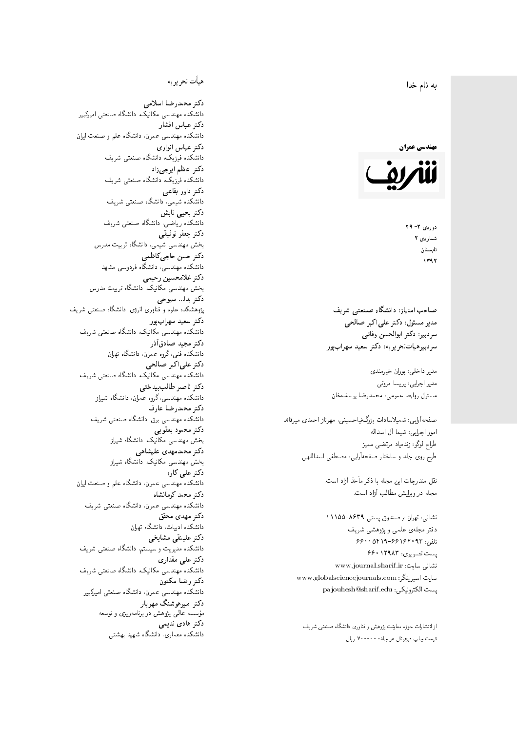#### $\overline{\phantom{a}}$ ز<br>ن به نام خدا .<br>.



دورەي ٢- ٢٩ شمارەي ۲ تابستان  $1197$ 

صاحب امتیاز: دانشگاه صنعتی شریف  $\mathfrak{c}$ مدیر مسئول: دکتر علیاکبر صالحی  $\mathfrak{c}$ سردبير: دكتر ابوالحسن وفائي سردبیرهیاتتحر یر یه : دکتر سعید سهرابپور

مدیر داخلی: پوران خیرمندی مدير اجرايي: پريسا مروتي مسئول روابط عمومى: محمدرضا يوسفخان

صفحهأرايبي: شميلاسادات بزرگiنياحسينبي، مهرناز احمدى ميرقائد امور اجرای<mark>بی: شیما آل اسداله</mark> طراح لوگو: زندەياد مرتضىي مىميز طرح روی جلد و ساختار صفحهآرایی: مصطفی اسداللهی

> نقل مندرحات این مجله با ذکر مأخذ آزاد است. مجله در ویرایش مطالب آزاد است.

نشانبی: تهران <sub>/</sub> صندوق پستبی ۸۶۳۹–۱۱۱۵۵ دفتر مجلهى علمى و پژوهشى شريف 56000194-66196 % + 6600 یست تصویری: ۱۲۹۸۳ ۶۶۰ نشانی سایت: www.journal.sharif.ir<br>. سایت اسپرینگر: www.globalsciencejournals.com<br>. pajouhesh@sharif.edu :يست الكترونيكي:

از انتشارات حوزه معاونت پژوهش و فناوری دانشگاه صنعتی شریف<br>. قيمت چاپ ديجيتال هر جلد: • • • • • ٧ ريال<br>.

## هيأت تحريريه

دكتر محمدرضا اسلامى مکانیک، دانشگاه صنعتی امیرکبیر دكتر عباس افشار دانشکده مهندسی عمران. دانشگاه علم و صنعت ایران دكتر عباس انوارى دانشکده فیزیک، دانشگاه صنعتبی شریف<br>. دکتر اعظم ايرجى زاد ، دانشگاه صنعتبی شریف دکتر داور بقاع**ی** دانشکده شیمی، دانشگاه صنعتی شریف<br>دکتر یحیی تابش دانشکده ریاضی، دانشگاه صنعتی شریف<br>م دكتر جعفر توفيقي بخش مهندسی شیمی، دانشگاه تربیت مدرس<br>. دكتر حسن حاجىكاظمي دانشکده مهندسی، دانشگاه فردوسی مشهد<br>-دكتر غلامحسين رحيمي هندسی مکانیک، دانشگاه تربیت مدرس دکتر يدا... سبوحي پژوهشکده علوم و فناوری انرژی، دانشگاه صنعتبی شریف دکتر سعید سهرابپور<br>دانشکده مهندسی مکانیک، دانشگاه صنعتی شریف دکتر مجيد صادقاذر ا<br>. دانشکده فنی، گروه عمران، دانشگاه تهران دکتر علیاکبر صالحی = دانشکده مهندسی مکانیک، دانشگاه صنعتی شریف دکتر ناصر طالب بیدختی r  $\mathfrak{c}$ دانشکده مهندسی،گروه عمران، دانشگاه شیراز<br>-دكتر محمدرضا عارف دانشکده مهندسی برق، دانشگاه صنعتی شریف<br><mark>دکتر محمود یعقوبی</mark> هندسی مکانیک، دانشگاه شی<sub>ل</sub>از دکتر محمدمهدی علیشاهی بخش مهندسی مکانیک، دانشگاه شی<sub>ل</sub>از<br>-دکتر علی کاوہ دانشکده مهندسی عمران. دانشگاه علم و صنعت ایران دکتر محمد کرمانشاه .<br>. دانشکده مهندسی عمران، دانشگاه صنعتی شریف<br>-دکتر مهد*ی* محقق دانشکده ادبیات، دانشگاه تهران دکتر علینقی مشایخ<u>ی</u> دانشکده مدیریت و سیستم، دانشگاه صنعتبی شریف دکتر علی مقداری مکانیک، دانشگاه صنعتی شریف دكتر رضا مكنون دانشکده مهندسی عمران، دانشگاه صنعتی امیرکبیر دکتر امیرهوشنگ مهریار مؤسسه عالی پژوهش در برنامهریزی و توسعه<br>م دکتر هادی ندیمی  $\overline{a}$ م هذا المسابق التي تتجاوز المسابق المسابق المسابق المسابق المسابق المسابق المسابق المسابق المسابق المسابق المس<br>المسابق المسابق المسابق المسابق المسابق المسابق المسابق المسابق المسابق المسابق المسابق المسابق المسابق المساب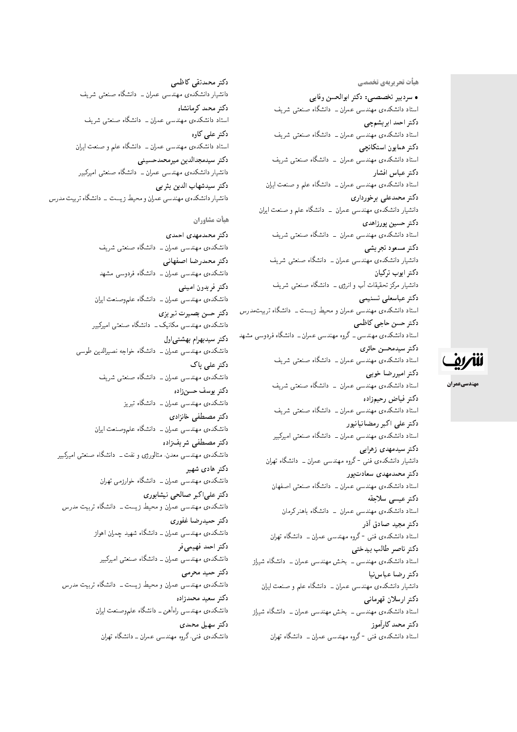هیأت تحریریهی تخ*صص*ی

• سردبیر تخصصی: دکتر ابوالحسن وفایی استاد دانشکدهی مهندسی عمران ــ دانشگاه صنعتبی شریف دكتر احمد ابريشمچي استاد دانشکدهی مهندسی عمران ــ دانشگاه صنعتی شریف دكتر همايون استكانچى استاد دانشکدهی مهندسی عمران – دانشگاه صنعتبی شریف دكتر عباس افشار استاد دانشکدهی مهندسی عمران ــ دانشگاه علم و صنعت ایران دکتر محمدعلی برخورداری دانشیار دانشکدهی مهندسی عمران \_ دانشگاه علم و صنعت ایران دكتر حسين پورزاهدى استاد دانشکدهی مهندسی عمران – دانشگاه صنعتی شریف دكتر مسعود تجريشي دانشیار دانشکدهی مهندسی عمران ــ دانشگاه صنعتبی شریف دكتر ايوب تركيان دانشیار مرکز تحقیقات آب و انرژی ـــ دانشگاه صنعتی شریف دكتر عباسعلى تسنيمى استاد دانشکدهی مهندسی عمران و محیط زیست ـ دانشگاه تربیتمدرس دكتر حسن حاجي كاظمى استاد دانشکدهی مهندسی ــ گروه مهندسی عمران ــ دانشگاه فردوسی مشهد دكتر سيدمحسن حائرى استاد دانشکدهی مهندسی عمران ــ دانشگاه صنعتی شریف دكتر اميررضا خوبي استاد دانشکدهی مهندسی عمران \_ دانشگاه صنعتی شریف دكتر فياض رحيمزاده استاد دانشکدهی مهندسی عمران ــ دانشگاه صنعتی شریف دکتر علی اکبر رمضانیانیور استاد دانشکدهی مهندسی عمران ــ دانشگاه صنعتی امیرکبیر دکتر سیدمهدی زهرای<u>ی</u> دانشیار دانشکدهی فنبی <sup>– </sup>گروه مهندسی عمران ــ دانشگاه تهران دکتر محمدمهدی سعادت یور استاد دانشکدهی مهندسی عمران ــ دانشگاه صنعتی اصفهان دكتر عيسى سلاجقه استاد دانشکدهی مهندسی عمران – دانشگاه باهنر کرمان دكتر مجيد صادق أذر استاد دانشکدهى فنى -گروه مهندسى عمران ــ دانشگاه تهران دكتر ناصر طالب بيدختى استاد دانشکدهی مهندسی ــ بخش مهندسی عمران ــ دانشگاه شیراز دكتر رضا عباس نيا دانشیار دانشکدهی مهندسی عمران ــ دانشگاه علم و صنعت ایران دكتر ارسلان قهرماني استاد دانشکدهی مهندسی ـ بخش مهندسی عمران ـ دانشگاه شیراز دكتر محمد كارأموز

استاد دانشکدهی فنبی -گروه مهندسی عمران ــ دانشگاه تهران

دكتر محمدتقى كاظمى دانشیار دانشکدهی مهندسی عمران ــ دانشگاه صنعتی شریف دكتر محمد كرمانشاه استاد دانشکدهی مهندسی عمران ــ دانشگاه صنعتی شریف دکتر علی کاوہ استاد دانشکدهی مهندسی عمران ــ دانشگاه علم و صنعت ایران دكتر سيدمجدالدين ميرمحمدحسينى دانشیار دانشکدهی مهندسی عمران ــ دانشگاه صنعتبی امیرکبیر دكتر سيدشهاب الدين يثر بي دانشیار دانشکدهی مهندسی عمران و محیط زیست - دانشگاه تربیت مدرس

هيأت مشاوران

دكتر محمدمهدى احمدى دانشکدهی مهندسی عمران ــ دانشگاه صنعتی شریف دكتر محمدرضا اصفهاني دانشکدهی مهندسی عمران ــ دانشگاه فردوسی مشهد دكتر فريدون امينبي دانشکدهی مهندسی عمران ــ دانشگاه علموصنعت ایران دكتر حسن بصيرت تبريزى دانشکدهی مهندسی مکانیک ــ دانشگاه صنعتی امیرکبیر دكتر سيدبهرام بهشتى اول دانشکدهی مهندسی عمران ــ دانشگاه خواجه نصیرالدین طوسی دکتر علی پاک دانشکدهی مهندسی عمران ــ دانشگاه صنعتی شریف دكتر يوسف حسنiراده دانشکده، مهندسی عمران ــ دانشگاه تبریز دكتر مصطفى خانزادى دانشکدهی مهندسی عمران ــ دانشگاه علموصنعت ایران دكتر مصطفى شريفزاده دانشکدهی مهندسی معدن، متالورژی و نفت ــ دانشگاه صنعتی امیرکبیر دکتر هاد*ی* شهیر دانشکدهی مهندسی عمران ــ دانشگاه خوارزمی تهران دکتر علي اکبر صيالحي نيشابور**ي** دانشکدهی مهندسی عمران و محیط زیست ــ دانشگاه تربیت مدرس دكتر حميدرضا غفورى دانشکده ی مهندسی عمران ــ دانشگاه شهید چمران اهواز دكتر احمد فهيمي فر دانشکدهی مهندسی عمران ــ دانشگاه صنعتی امیرکسر دکتر حمید محرمی دانشکدهی مهندسی عمران و محیط زیست ــ دانشگاه تربیت مدرس دكتر سعيد محمدزاده دانشکدهی مهندسی راهآهن ــ دانشگاه علموصنعت ایران دكتر سهبل محمدي دانشکدهی فنبی، گروه مهندسی عمران ــ دانشگاه تهران

للمريف

مهندسيعمران